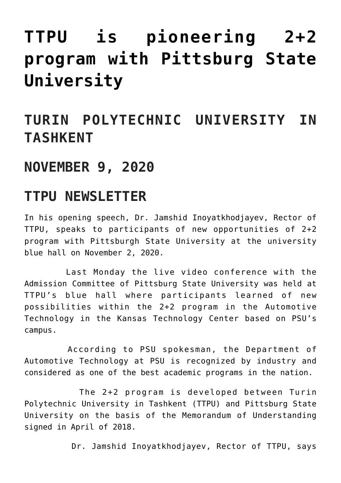## **[TTPU is pioneering 2+2](https://polito.uz/12307/) [program with Pittsburg State](https://polito.uz/12307/) [University](https://polito.uz/12307/)**

## **TURIN POLYTECHNIC UNIVERSITY IN TASHKENT**

## **NOVEMBER 9, 2020**

## **TTPU NEWSLETTER**

In his opening speech, Dr. Jamshid Inoyatkhodjayev, Rector of TTPU, speaks to participants of new opportunities of 2+2 program with Pittsburgh State University at the university blue hall on November 2, 2020.

 Last Monday the live video conference with the Admission Committee of Pittsburg State University was held at TTPU's blue hall where participants learned of new possibilities within the 2+2 program in the Automotive Technology in the Kansas Technology Center based on PSU's campus.

 According to PSU spokesman, the Department of Automotive Technology at PSU is recognized by industry and considered as one of the best academic programs in the nation.

 The 2+2 program is developed between Turin Polytechnic University in Tashkent (TTPU) and Pittsburg State University on the basis of the Memorandum of Understanding signed in April of 2018.

Dr. Jamshid Inoyatkhodjayev, Rector of TTPU, says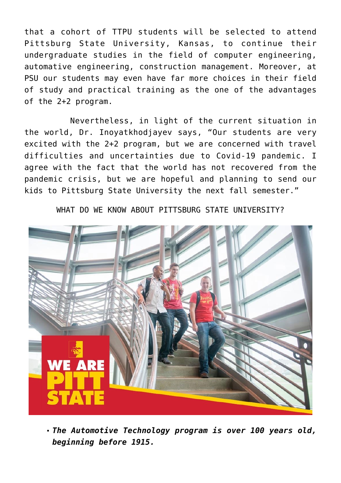that a cohort of TTPU students will be selected to attend Pittsburg State University, Kansas, to continue their undergraduate studies in the field of computer engineering, automative engineering, construction management. Moreover, at PSU our students may even have far more choices in their field of study and practical training as the one of the advantages of the 2+2 program.

 Nevertheless, in light of the current situation in the world, Dr. Inoyatkhodjayev says, "Our students are very excited with the 2+2 program, but we are concerned with travel difficulties and uncertainties due to Covid-19 pandemic. I agree with the fact that the world has not recovered from the pandemic crisis, but we are hopeful and planning to send our kids to Pittsburg State University the next fall semester."

WHAT DO WE KNOW ABOUT PITTSBURG STATE UNIVERSITY?



*The Automotive Technology program is over 100 years old, beginning before 1915.*